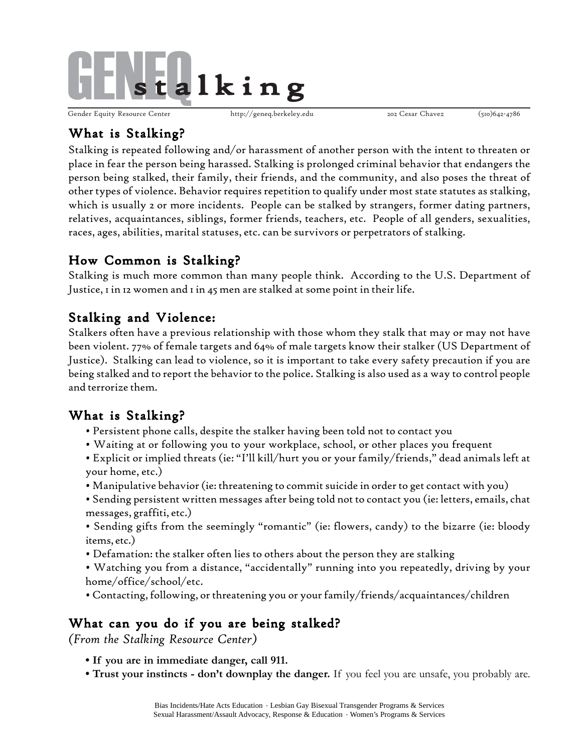

Gender Equity Resource Center http://geneq.berkeley.edu 202 Cesar Chavez (510)642-4786

## What is Stalking?

Stalking is repeated following and/or harassment of another person with the intent to threaten or place in fear the person being harassed. Stalking is prolonged criminal behavior that endangers the person being stalked, their family, their friends, and the community, and also poses the threat of other types of violence. Behavior requires repetition to qualify under most state statutes as stalking, which is usually 2 or more incidents. People can be stalked by strangers, former dating partners, relatives, acquaintances, siblings, former friends, teachers, etc. People of all genders, sexualities, races, ages, abilities, marital statuses, etc. can be survivors or perpetrators of stalking.

# How Common is Stalking?

Stalking is much more common than many people think. According to the U.S. Department of Justice, 1 in 12 women and 1 in 45 men are stalked at some point in their life.

## Stalking and Violence:

Stalkers often have a previous relationship with those whom they stalk that may or may not have been violent. 77% of female targets and 64% of male targets know their stalker (US Department of Justice). Stalking can lead to violence, so it is important to take every safety precaution if you are being stalked and to report the behavior to the police. Stalking is also used as a way to control people and terrorize them.

## What is Stalking?

- Persistent phone calls, despite the stalker having been told not to contact you
- Waiting at or following you to your workplace, school, or other places you frequent
- Explicit or implied threats (ie: "I'll kill/hurt you or your family/friends," dead animals left at your home, etc.)
- Manipulative behavior (ie: threatening to commit suicide in order to get contact with you)
- Sending persistent written messages after being told not to contact you (ie: letters, emails, chat messages, graffiti, etc.)
- Sending gifts from the seemingly "romantic" (ie: flowers, candy) to the bizarre (ie: bloody items, etc.)
- Defamation: the stalker often lies to others about the person they are stalking
- Watching you from a distance, "accidentally" running into you repeatedly, driving by your home/office/school/etc.
- Contacting, following, or threatening you or your family/friends/acquaintances/children

## What can you do if you are being stalked?

*(From the Stalking Resource Center)*

- **If you are in immediate danger, call 911.**
- **Trust your instincts don't downplay the danger.** If you feel you are unsafe, you probably are.